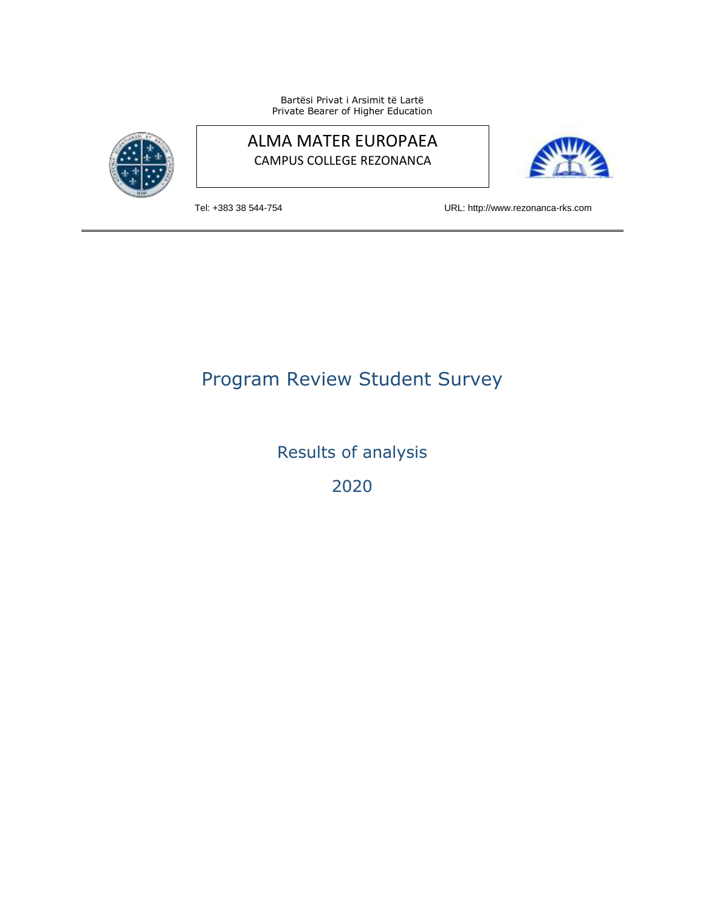Bartësi Privat i Arsimit të Lartë Private Bearer of Higher Education



## ALMA MATER EUROPAEA CAMPUS COLLEGE REZONANCA



Tel: +383 38 544-754 URL: http://www.rezonanca-rks.com

# Program Review Student Survey

Results of analysis

2020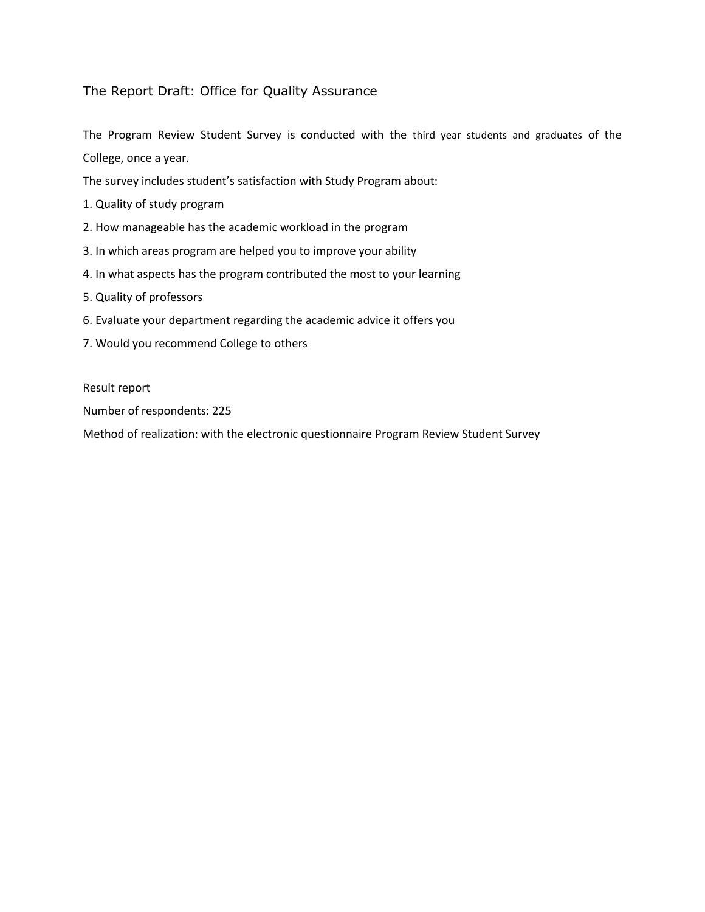### The Report Draft: Office for Quality Assurance

The Program Review Student Survey is conducted with the third year students and graduates of the College, once a year.

The survey includes student's satisfaction with Study Program about:

- 1. Quality of study program
- 2. How manageable has the academic workload in the program
- 3. In which areas program are helped you to improve your ability
- 4. In what aspects has the program contributed the most to your learning
- 5. Quality of professors
- 6. Evaluate your department regarding the academic advice it offers you
- 7. Would you recommend College to others

Result report

Number of respondents: 225

Method of realization: with the electronic questionnaire Program Review Student Survey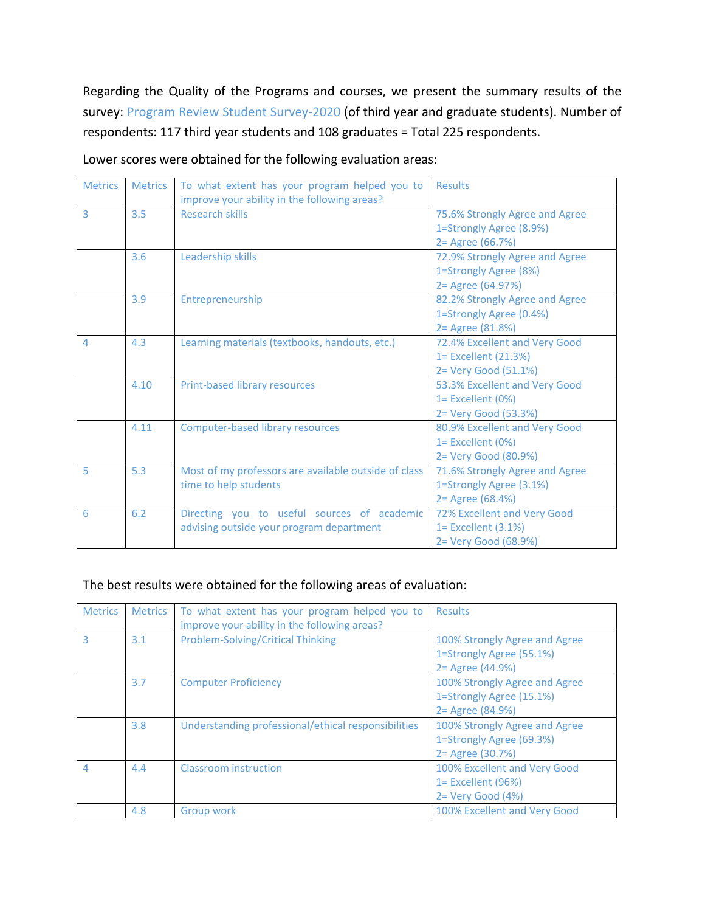Regarding the Quality of the Programs and courses, we present the summary results of the survey: Program Review Student Survey-2020 (of third year and graduate students). Number of respondents: 117 third year students and 108 graduates = Total 225 respondents.

| <b>Metrics</b>           | <b>Metrics</b> | To what extent has your program helped you to<br>improve your ability in the following areas? | <b>Results</b>                                                                 |
|--------------------------|----------------|-----------------------------------------------------------------------------------------------|--------------------------------------------------------------------------------|
| 3                        | 3.5            | <b>Research skills</b>                                                                        | 75.6% Strongly Agree and Agree<br>1=Strongly Agree (8.9%)<br>2 = Agree (66.7%) |
|                          | 3.6            | Leadership skills                                                                             | 72.9% Strongly Agree and Agree<br>1=Strongly Agree (8%)<br>2 = Agree (64.97%)  |
|                          | 3.9            | Entrepreneurship                                                                              | 82.2% Strongly Agree and Agree<br>1=Strongly Agree (0.4%)<br>2 = Agree (81.8%) |
| $\overline{\mathcal{L}}$ | 4.3            | Learning materials (textbooks, handouts, etc.)                                                | 72.4% Excellent and Very Good<br>1= Excellent (21.3%)<br>2= Very Good (51.1%)  |
|                          | 4.10           | Print-based library resources                                                                 | 53.3% Excellent and Very Good<br>1= Excellent (0%)<br>2= Very Good (53.3%)     |
|                          | 4.11           | <b>Computer-based library resources</b>                                                       | 80.9% Excellent and Very Good<br>1= Excellent (0%)<br>2= Very Good (80.9%)     |
| 5                        | 5.3            | Most of my professors are available outside of class<br>time to help students                 | 71.6% Strongly Agree and Agree<br>1=Strongly Agree (3.1%)<br>2 = Agree (68.4%) |
| 6                        | 6.2            | Directing you to useful sources of academic<br>advising outside your program department       | 72% Excellent and Very Good<br>1= Excellent (3.1%)<br>2= Very Good (68.9%)     |

Lower scores were obtained for the following evaluation areas:

### The best results were obtained for the following areas of evaluation:

| <b>Metrics</b> | <b>Metrics</b> | To what extent has your program helped you to<br>improve your ability in the following areas? | <b>Results</b>                                                                 |
|----------------|----------------|-----------------------------------------------------------------------------------------------|--------------------------------------------------------------------------------|
| З              | 3.1            | <b>Problem-Solving/Critical Thinking</b>                                                      | 100% Strongly Agree and Agree<br>1=Strongly Agree (55.1%)<br>2 = Agree (44.9%) |
|                | 3.7            | <b>Computer Proficiency</b>                                                                   | 100% Strongly Agree and Agree<br>1=Strongly Agree (15.1%)<br>2 = Agree (84.9%) |
|                | 3.8            | Understanding professional/ethical responsibilities                                           | 100% Strongly Agree and Agree<br>1=Strongly Agree (69.3%)<br>2 = Agree (30.7%) |
| $\Delta$       | 4.4            | Classroom instruction                                                                         | 100% Excellent and Very Good<br>$1=$ Excellent (96%)<br>$2 = V$ ery Good (4%)  |
|                | 4.8            | Group work                                                                                    | 100% Excellent and Very Good                                                   |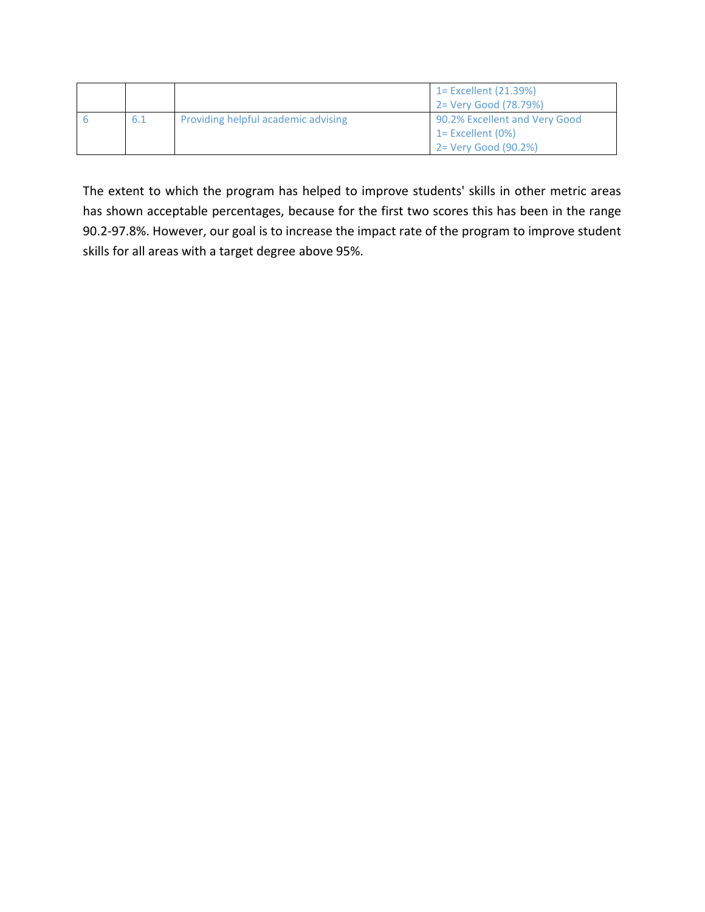|     |                                     | 1 = Excellent (21.39%)<br>$2 = Very Good (78.79%)$ |
|-----|-------------------------------------|----------------------------------------------------|
| 6.1 | Providing helpful academic advising | 90.2% Excellent and Very Good                      |
|     |                                     | $1=$ Excellent (0%)                                |
|     |                                     | 2 = Very Good (90.2%)                              |

The extent to which the program has helped to improve students' skills in other metric areas has shown acceptable percentages, because for the first two scores this has been in the range 90.2-97.8%. However, our goal is to increase the impact rate of the program to improve student skills for all areas with a target degree above 95%.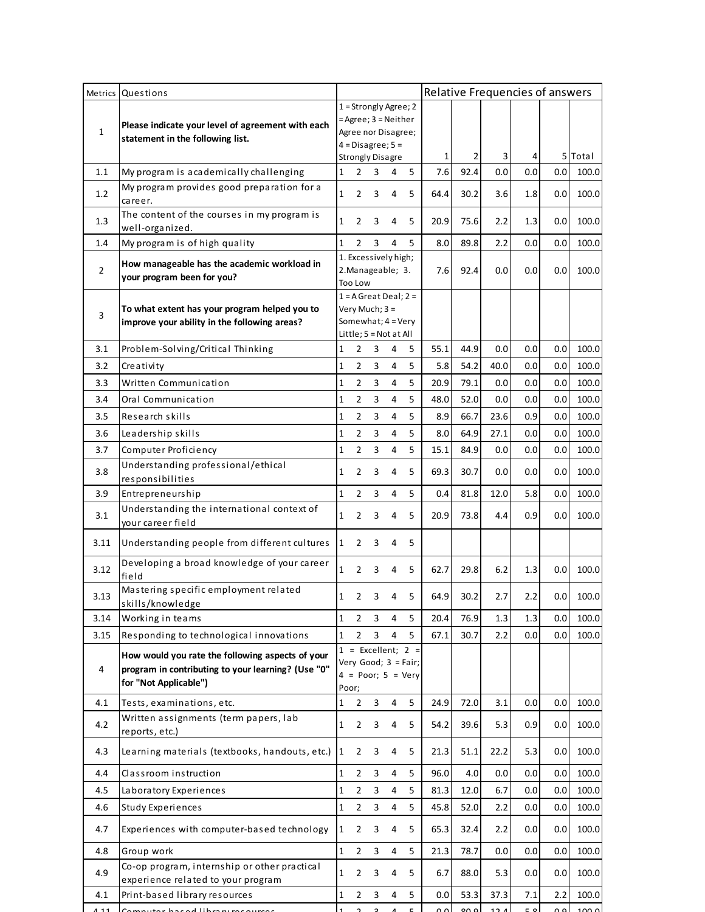|                | Metrics Questions                                                                                                               |              |                  |    |                                            |                                                                             | Relative Frequencies of answers |      |      |     |                |         |
|----------------|---------------------------------------------------------------------------------------------------------------------------------|--------------|------------------|----|--------------------------------------------|-----------------------------------------------------------------------------|---------------------------------|------|------|-----|----------------|---------|
|                |                                                                                                                                 |              |                  |    | 1 = Strongly Agree; 2                      |                                                                             |                                 |      |      |     |                |         |
|                | Please indicate your level of agreement with each                                                                               |              |                  |    | $=$ Agree; $3 =$ Neither                   |                                                                             |                                 |      |      |     |                |         |
| $\mathbf{1}$   | statement in the following list.                                                                                                |              |                  |    | Agree nor Disagree;<br>$4 = Disagree; 5 =$ |                                                                             |                                 |      |      |     |                |         |
|                |                                                                                                                                 |              |                  |    | <b>Strongly Disagre</b>                    |                                                                             | $\mathbf{1}$                    | 2    | 3    | 4   |                | 5 Total |
| 1.1            | My program is academically challenging                                                                                          | 1            | 2                | 3  | 4                                          | 5                                                                           | 7.6                             | 92.4 | 0.0  | 0.0 | 0.0            | 100.0   |
| 1.2            | My program provides good preparation for a                                                                                      | $\mathbf{1}$ | 2                | 3  | 4                                          | 5                                                                           | 64.4                            | 30.2 | 3.6  | 1.8 | 0.0            | 100.0   |
| 1.3            | career.<br>The content of the courses in my program is                                                                          | 1            | $\overline{2}$   | 3  | 4                                          | 5                                                                           | 20.9                            | 75.6 | 2.2  | 1.3 | 0.0            | 100.0   |
| 1.4            | well-organized.<br>My program is of high quality                                                                                | $\mathbf{1}$ | $\overline{2}$   | 3  | 4                                          | 5                                                                           | 8.0                             | 89.8 | 2.2  | 0.0 | 0.0            | 100.0   |
|                |                                                                                                                                 |              |                  |    | 1. Excessively high;                       |                                                                             |                                 |      |      |     |                |         |
| $\overline{2}$ | How manageable has the academic workload in<br>your program been for you?                                                       |              | Too Low          |    | 2. Manageable; 3.                          |                                                                             | 7.6                             | 92.4 | 0.0  | 0.0 | 0.0            | 100.0   |
|                |                                                                                                                                 |              |                  |    | $1 = A$ Great Deal; $2 =$                  |                                                                             |                                 |      |      |     |                |         |
| 3              | To what extent has your program helped you to                                                                                   |              | Very Much; $3 =$ |    |                                            |                                                                             |                                 |      |      |     |                |         |
|                | improve your ability in the following areas?                                                                                    |              |                  |    | Somewhat; 4 = Very                         |                                                                             |                                 |      |      |     |                |         |
|                |                                                                                                                                 |              |                  |    | Little; 5 = Not at All                     | 5                                                                           | 55.1                            | 44.9 |      | 0.0 | 0.0            | 100.0   |
| 3.1            | Problem-Solving/Critical Thinking                                                                                               | 1            | $\overline{2}$   | 3  | 4                                          |                                                                             |                                 |      | 0.0  |     |                |         |
| 3.2            | Creativity                                                                                                                      | 1            | 2                | 3  | 4                                          | 5                                                                           | 5.8                             | 54.2 | 40.0 | 0.0 | 0.0            | 100.0   |
| 3.3            | Written Communication                                                                                                           | 1            | $\overline{2}$   | 3  | 4                                          | 5                                                                           | 20.9                            | 79.1 | 0.0  | 0.0 | 0.0            | 100.0   |
| 3.4            | Oral Communication                                                                                                              | $\mathbf{1}$ | $\overline{2}$   | 3  | 4                                          | 5                                                                           | 48.0                            | 52.0 | 0.0  | 0.0 | 0.0            | 100.0   |
| 3.5            | Research skills                                                                                                                 | 1            | 2                | 3  | 4                                          | 5                                                                           | 8.9                             | 66.7 | 23.6 | 0.9 | 0.0            | 100.0   |
| 3.6            | Leadership skills                                                                                                               | $\mathbf 1$  | $\overline{2}$   | 3  | 4                                          | 5                                                                           | 8.0                             | 64.9 | 27.1 | 0.0 | 0.0            | 100.0   |
| 3.7            | Computer Proficiency                                                                                                            | 1            | 2                | 3  | 4                                          | 5                                                                           | 15.1                            | 84.9 | 0.0  | 0.0 | 0.0            | 100.0   |
| 3.8            | Understanding professional/ethical<br>responsibilities                                                                          | 1            | 2                | 3  | 4                                          | 5                                                                           | 69.3                            | 30.7 | 0.0  | 0.0 | 0.0            | 100.0   |
| 3.9            | Entrepreneurship                                                                                                                | 1            | $\overline{2}$   | 3  | $\pmb{4}$                                  | 5                                                                           | 0.4                             | 81.8 | 12.0 | 5.8 | 0.0            | 100.0   |
| 3.1            | Understanding the international context of<br>your career field                                                                 | 1            | $\overline{2}$   | 3  | 4                                          | 5                                                                           | 20.9                            | 73.8 | 4.4  | 0.9 | 0.0            | 100.0   |
| 3.11           | Understanding people from different cultures                                                                                    | $\mathbf{1}$ | 2                | 3  | 4                                          | 5                                                                           |                                 |      |      |     |                |         |
| 3.12           | Developing a broad knowledge of your career<br>field                                                                            | $\mathbf{1}$ | $\overline{2}$   | 3  | 4                                          | 5                                                                           | 62.7                            | 29.8 | 6.2  | 1.3 | 0.0            | 100.0   |
| 3.13           | Mastering specific employment related<br>skills/knowledge                                                                       | 1            | $\mathcal{P}$    | 3. | 4                                          | 5                                                                           | 64.9                            | 30.2 | 2.7  | 2.2 | 0.0            | 100.0   |
| 3.14           | Working in teams                                                                                                                | $\mathbf{1}$ | $\overline{2}$   | 3  | 4                                          | 5                                                                           | 20.4                            | 76.9 | 1.3  | 1.3 | 0.0            | 100.0   |
| 3.15           | Responding to technological innovations                                                                                         | 1            | $\overline{2}$   | 3  | 4                                          | 5                                                                           | 67.1                            | 30.7 | 2.2  | 0.0 | 0.0            | 100.0   |
| 4              | How would you rate the following aspects of your<br>program in contributing to your learning? (Use "0"<br>for "Not Applicable") | Poor;        |                  |    |                                            | $1 =$ Excellent; $2 =$<br>Very Good; $3 = Fair;$<br>$4 = Poor$ ; $5 = Very$ |                                 |      |      |     |                |         |
| 4.1            | Tests, examinations, etc.                                                                                                       | 1            | $\overline{2}$   | 3  | $\overline{4}$                             | 5                                                                           | 24.9                            | 72.0 | 3.1  | 0.0 | 0.0            | 100.0   |
| 4.2            | Written assignments (term papers, lab<br>reports, etc.)                                                                         | 1            | 2                | 3  | 4                                          | 5                                                                           | 54.2                            | 39.6 | 5.3  | 0.9 | 0.0            | 100.0   |
| 4.3            | Learning materials (textbooks, handouts, etc.)                                                                                  | 1            | 2                | 3  | 4                                          | 5                                                                           | 21.3                            | 51.1 | 22.2 | 5.3 | 0.0            | 100.0   |
| 4.4            | Classroom instruction                                                                                                           | 1            | $\overline{2}$   | 3  | 4                                          | 5                                                                           | 96.0                            | 4.0  | 0.0  | 0.0 | 0.0            | 100.0   |
| 4.5            | Laboratory Experiences                                                                                                          | 1            | $\overline{2}$   | 3  | 4                                          | 5                                                                           | 81.3                            | 12.0 | 6.7  | 0.0 | 0.0            | 100.0   |
| 4.6            | <b>Study Experiences</b>                                                                                                        | $\mathbf 1$  | $\overline{2}$   | 3  | 4                                          | 5                                                                           | 45.8                            | 52.0 | 2.2  | 0.0 | 0.0            | 100.0   |
| 4.7            | Experiences with computer-based technology                                                                                      | 1            | 2                | 3  | 4                                          | 5                                                                           | 65.3                            | 32.4 | 2.2  | 0.0 | 0.0            | 100.0   |
| 4.8            | Group work                                                                                                                      | 1            | 2                | 3  | 4                                          | 5                                                                           | 21.3                            | 78.7 | 0.0  | 0.0 | 0.0            | 100.0   |
| 4.9            | Co-op program, internship or other practical<br>experience related to your program                                              | 1            | $\overline{2}$   | 3  | 4                                          | 5                                                                           | 6.7                             | 88.0 | 5.3  | 0.0 | 0.0            | 100.0   |
| 4.1            | Print-based library resources                                                                                                   | 1            | $\overline{2}$   | 3  | 4                                          | 5                                                                           | 0.0                             | 53.3 | 37.3 | 7.1 | 2.2            | 100.0   |
| 111            | Computer baced library recourses                                                                                                |              |                  |    |                                            |                                                                             | $\cap$                          | ە مە | 121  | C   | 0 <sub>0</sub> | 1000    |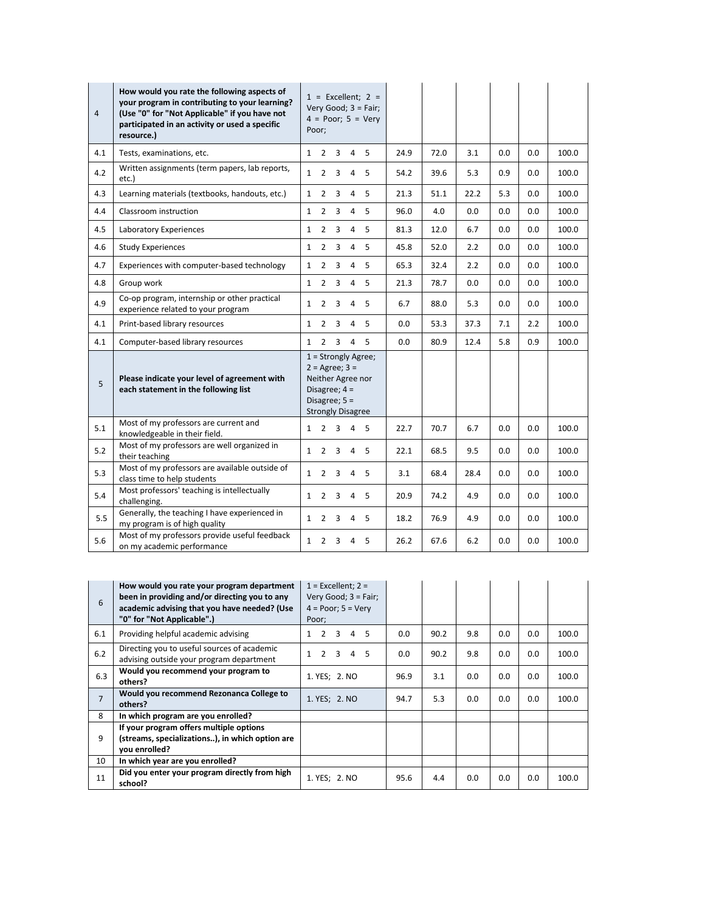| $\overline{4}$ | How would you rate the following aspects of<br>your program in contributing to your learning?<br>(Use "0" for "Not Applicable" if you have not<br>participated in an activity or used a specific<br>resource.) | $1 =$ Excellent; $2 =$<br>Very Good; $3 = Fair$ ;<br>$4 = Poor$ ; $5 = Very$<br>Poor:                                                    |      |      |      |     |         |       |
|----------------|----------------------------------------------------------------------------------------------------------------------------------------------------------------------------------------------------------------|------------------------------------------------------------------------------------------------------------------------------------------|------|------|------|-----|---------|-------|
| 4.1            | Tests, examinations, etc.                                                                                                                                                                                      | $1\quad 2\quad 3$<br>5<br>4                                                                                                              | 24.9 | 72.0 | 3.1  | 0.0 | 0.0     | 100.0 |
| 4.2            | Written assignments (term papers, lab reports,<br>etc.)                                                                                                                                                        | $\mathbf{1}$<br>$\overline{2}$<br>3<br>4<br>5                                                                                            | 54.2 | 39.6 | 5.3  | 0.9 | 0.0     | 100.0 |
| 4.3            | Learning materials (textbooks, handouts, etc.)                                                                                                                                                                 | $\mathbf{1}$<br>2<br>3<br>4<br>5                                                                                                         | 21.3 | 51.1 | 22.2 | 5.3 | 0.0     | 100.0 |
| 4.4            | Classroom instruction                                                                                                                                                                                          | $\overline{2}$<br>5<br>$\mathbf{1}$<br>3<br>4                                                                                            | 96.0 | 4.0  | 0.0  | 0.0 | 0.0     | 100.0 |
| 4.5            | Laboratory Experiences                                                                                                                                                                                         | $\overline{2}$<br>3<br>4<br>5<br>$\mathbf{1}$                                                                                            | 81.3 | 12.0 | 6.7  | 0.0 | 0.0     | 100.0 |
| 4.6            | <b>Study Experiences</b>                                                                                                                                                                                       | $\overline{2}$<br>3<br>$\overline{4}$<br>5<br>$\mathbf{1}$                                                                               | 45.8 | 52.0 | 2.2  | 0.0 | 0.0     | 100.0 |
| 4.7            | Experiences with computer-based technology                                                                                                                                                                     | $\overline{2}$<br>$\mathbf{1}$<br>3<br>5<br>4                                                                                            | 65.3 | 32.4 | 2.2  | 0.0 | 0.0     | 100.0 |
| 4.8            | Group work                                                                                                                                                                                                     | $\mathbf{1}$<br>$\overline{2}$<br>3<br>4<br>5                                                                                            | 21.3 | 78.7 | 0.0  | 0.0 | 0.0     | 100.0 |
| 4.9            | Co-op program, internship or other practical<br>experience related to your program                                                                                                                             | $\mathbf{1}$<br>$\overline{2}$<br>3<br>5<br>4                                                                                            | 6.7  | 88.0 | 5.3  | 0.0 | 0.0     | 100.0 |
| 4.1            | Print-based library resources                                                                                                                                                                                  | 5<br>$\mathbf{1}$<br>$\overline{2}$<br>3<br>4                                                                                            | 0.0  | 53.3 | 37.3 | 7.1 | 2.2     | 100.0 |
| 4.1            | Computer-based library resources                                                                                                                                                                               | $1 \quad 2 \quad 3$<br>5<br>4                                                                                                            | 0.0  | 80.9 | 12.4 | 5.8 | 0.9     | 100.0 |
| 5              | Please indicate your level of agreement with<br>each statement in the following list                                                                                                                           | 1 = Strongly Agree;<br>$2 = \text{Agree}$ ; $3 =$<br>Neither Agree nor<br>Disagree; $4 =$<br>Disagree; $5 =$<br><b>Strongly Disagree</b> |      |      |      |     |         |       |
| 5.1            | Most of my professors are current and<br>knowledgeable in their field.                                                                                                                                         | 2 <sub>3</sub><br>4<br>-5<br>$\mathbf{1}$                                                                                                | 22.7 | 70.7 | 6.7  | 0.0 | 0.0     | 100.0 |
| 5.2            | Most of my professors are well organized in<br>their teaching                                                                                                                                                  | $\overline{2}$<br>3<br>5<br>$\mathbf{1}$<br>4                                                                                            | 22.1 | 68.5 | 9.5  | 0.0 | 0.0     | 100.0 |
| 5.3            | Most of my professors are available outside of<br>class time to help students                                                                                                                                  | 5<br>$\mathbf{1}$<br>$\overline{2}$<br>3<br>4                                                                                            | 3.1  | 68.4 | 28.4 | 0.0 | 0.0     | 100.0 |
| 5.4            | Most professors' teaching is intellectually<br>challenging.                                                                                                                                                    | $\mathbf{1}$<br>2<br>3<br>4<br>5                                                                                                         | 20.9 | 74.2 | 4.9  | 0.0 | $0.0\,$ | 100.0 |
| 5.5            | Generally, the teaching I have experienced in<br>my program is of high quality                                                                                                                                 | 1<br>$\overline{2}$<br>$\mathbf{3}$<br>4<br>5                                                                                            | 18.2 | 76.9 | 4.9  | 0.0 | 0.0     | 100.0 |
| 5.6            | Most of my professors provide useful feedback<br>on my academic performance                                                                                                                                    | 3<br>$\mathbf{1}$<br>$\overline{2}$<br>4<br>5                                                                                            | 26.2 | 67.6 | 6.2  | 0.0 | $0.0\,$ | 100.0 |

| 6              | How would you rate your program department<br>been in providing and/or directing you to any<br>academic advising that you have needed? (Use<br>"0" for "Not Applicable".) | $1 =$ Excellent; $2 =$<br>Very Good; $3 = Fair;$<br>$4 = Poor$ ; $5 = Very$<br>Poor; |      |      |     |     |     |       |
|----------------|---------------------------------------------------------------------------------------------------------------------------------------------------------------------------|--------------------------------------------------------------------------------------|------|------|-----|-----|-----|-------|
| 6.1            | Providing helpful academic advising                                                                                                                                       | 2 <sub>3</sub><br>4 5<br>$\mathbf{1}$                                                | 0.0  | 90.2 | 9.8 | 0.0 | 0.0 | 100.0 |
| 6.2            | Directing you to useful sources of academic<br>advising outside your program department                                                                                   | $\mathcal{P}$<br>4<br>3<br>- 5                                                       | 0.0  | 90.2 | 9.8 | 0.0 | 0.0 | 100.0 |
| 6.3            | Would you recommend your program to<br>others?                                                                                                                            | 1. YES; 2. NO                                                                        | 96.9 | 3.1  | 0.0 | 0.0 | 0.0 | 100.0 |
| $\overline{7}$ | Would you recommend Rezonanca College to<br>others?                                                                                                                       | 1. YES; 2. NO                                                                        | 94.7 | 5.3  | 0.0 | 0.0 | 0.0 | 100.0 |
| 8              | In which program are you enrolled?                                                                                                                                        |                                                                                      |      |      |     |     |     |       |
| 9              | If your program offers multiple options<br>(streams, specializations), in which option are<br>you enrolled?                                                               |                                                                                      |      |      |     |     |     |       |
| 10             | In which year are you enrolled?                                                                                                                                           |                                                                                      |      |      |     |     |     |       |
| 11             | Did you enter your program directly from high<br>school?                                                                                                                  | 1. YES; 2. NO                                                                        | 95.6 | 4.4  | 0.0 | 0.0 | 0.0 | 100.0 |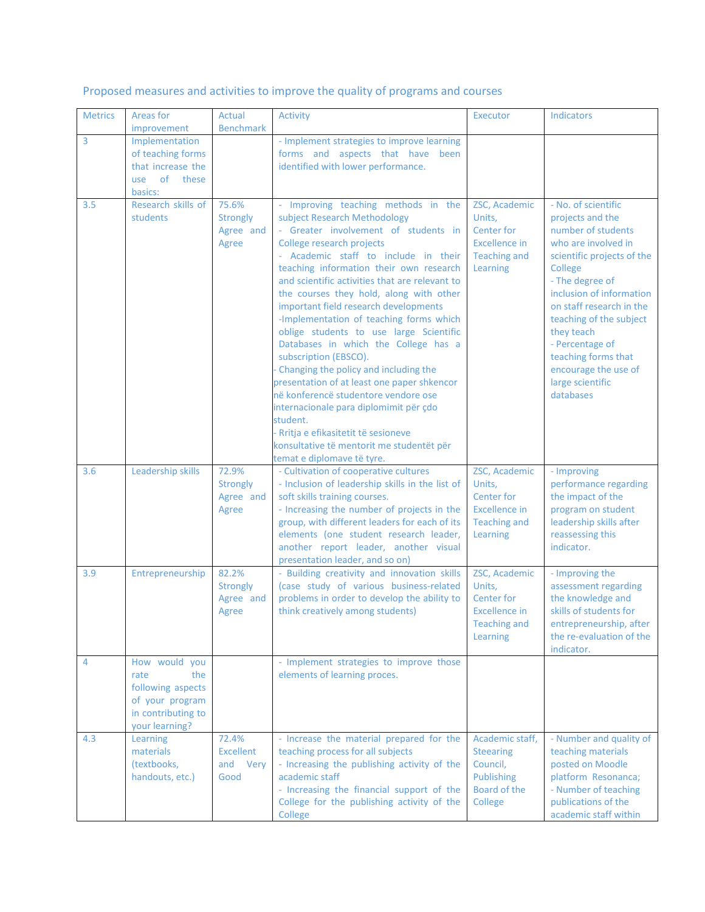# Proposed measures and activities to improve the quality of programs and courses

| <b>Metrics</b> | Areas for<br>improvement                                                                                     | Actual<br><b>Benchmark</b>                     | Activity                                                                                                                                                                                                                                                                                                                                                                                                                                                                                                                                                                                                                                                                                                                                                                                                                        | Executor                                                                                                | <b>Indicators</b>                                                                                                                                                                                                                                                                                                                                    |
|----------------|--------------------------------------------------------------------------------------------------------------|------------------------------------------------|---------------------------------------------------------------------------------------------------------------------------------------------------------------------------------------------------------------------------------------------------------------------------------------------------------------------------------------------------------------------------------------------------------------------------------------------------------------------------------------------------------------------------------------------------------------------------------------------------------------------------------------------------------------------------------------------------------------------------------------------------------------------------------------------------------------------------------|---------------------------------------------------------------------------------------------------------|------------------------------------------------------------------------------------------------------------------------------------------------------------------------------------------------------------------------------------------------------------------------------------------------------------------------------------------------------|
| 3              | Implementation<br>of teaching forms<br>that increase the<br>of<br>these<br>use<br>basics:                    |                                                | - Implement strategies to improve learning<br>forms and aspects that have been<br>identified with lower performance.                                                                                                                                                                                                                                                                                                                                                                                                                                                                                                                                                                                                                                                                                                            |                                                                                                         |                                                                                                                                                                                                                                                                                                                                                      |
| 3.5            | Research skills of<br>students                                                                               | 75.6%<br><b>Strongly</b><br>Agree and<br>Agree | - Improving teaching methods in the<br>subject Research Methodology<br>- Greater involvement of students in<br>College research projects<br>- Academic staff to include in their<br>teaching information their own research<br>and scientific activities that are relevant to<br>the courses they hold, along with other<br>important field research developments<br>-Implementation of teaching forms which<br>oblige students to use large Scientific<br>Databases in which the College has a<br>subscription (EBSCO).<br>Changing the policy and including the<br>presentation of at least one paper shkencor<br>në konferencë studentore vendore ose<br>internacionale para diplomimit për çdo<br>student.<br>Rritja e efikasitetit të sesioneve<br>konsultative të mentorit me studentët për<br>temat e diplomave të tyre. | ZSC, Academic<br>Units,<br>Center for<br><b>Excellence in</b><br><b>Teaching and</b><br>Learning        | - No. of scientific<br>projects and the<br>number of students<br>who are involved in<br>scientific projects of the<br>College<br>- The degree of<br>inclusion of information<br>on staff research in the<br>teaching of the subject<br>they teach<br>- Percentage of<br>teaching forms that<br>encourage the use of<br>large scientific<br>databases |
| 3.6            | Leadership skills                                                                                            | 72.9%<br>Strongly<br>Agree and<br>Agree        | - Cultivation of cooperative cultures<br>- Inclusion of leadership skills in the list of<br>soft skills training courses.<br>- Increasing the number of projects in the<br>group, with different leaders for each of its<br>elements (one student research leader,<br>another report leader, another visual<br>presentation leader, and so on)                                                                                                                                                                                                                                                                                                                                                                                                                                                                                  | ZSC, Academic<br>Units,<br>Center for<br><b>Excellence in</b><br><b>Teaching and</b><br>Learning        | - Improving<br>performance regarding<br>the impact of the<br>program on student<br>leadership skills after<br>reassessing this<br>indicator.                                                                                                                                                                                                         |
| 3.9            | Entrepreneurship                                                                                             | 82.2%<br>Strongly<br>Agree and<br>Agree        | - Building creativity and innovation skills<br>(case study of various business-related<br>problems in order to develop the ability to<br>think creatively among students)                                                                                                                                                                                                                                                                                                                                                                                                                                                                                                                                                                                                                                                       | ZSC, Academic<br>Units,<br><b>Center for</b><br><b>Excellence in</b><br><b>Teaching and</b><br>Learning | - Improving the<br>assessment regarding<br>the knowledge and<br>skills of students for<br>entrepreneurship, after<br>the re-evaluation of the<br>indicator.                                                                                                                                                                                          |
| 4              | How would you<br>the<br>rate<br>following aspects<br>of your program<br>in contributing to<br>your learning? |                                                | - Implement strategies to improve those<br>elements of learning proces.                                                                                                                                                                                                                                                                                                                                                                                                                                                                                                                                                                                                                                                                                                                                                         |                                                                                                         |                                                                                                                                                                                                                                                                                                                                                      |
| 4.3            | Learning<br>materials<br>(textbooks,<br>handouts, etc.)                                                      | 72.4%<br>Excellent<br>and Very<br>Good         | - Increase the material prepared for the<br>teaching process for all subjects<br>- Increasing the publishing activity of the<br>academic staff<br>- Increasing the financial support of the<br>College for the publishing activity of the<br>College                                                                                                                                                                                                                                                                                                                                                                                                                                                                                                                                                                            | Academic staff,<br><b>Steearing</b><br>Council,<br>Publishing<br>Board of the<br>College                | - Number and quality of<br>teaching materials<br>posted on Moodle<br>platform Resonanca;<br>- Number of teaching<br>publications of the<br>academic staff within                                                                                                                                                                                     |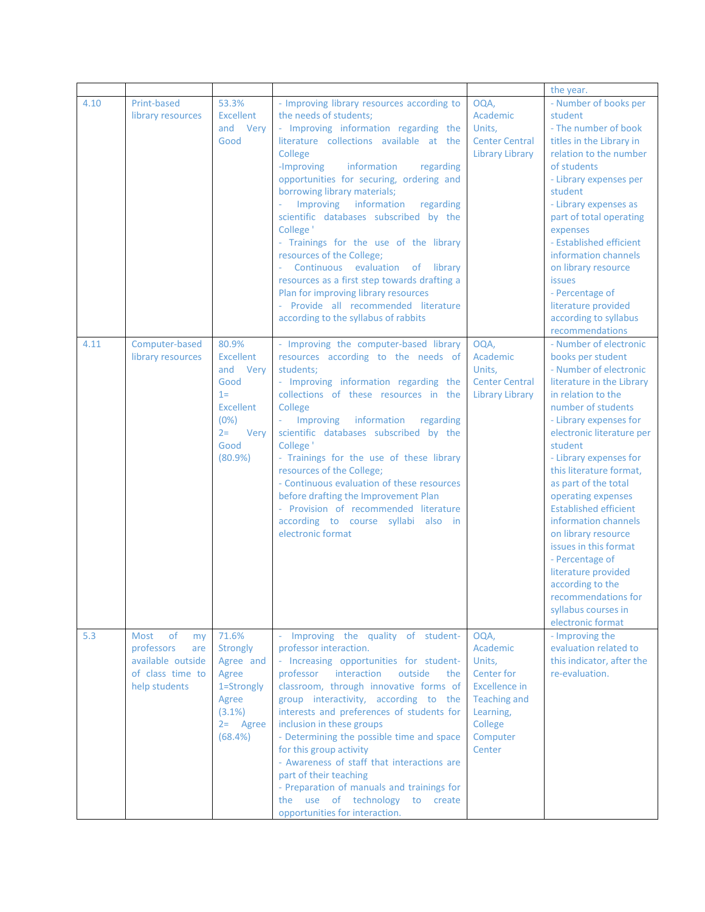|      |                                                                                                 |                                                                                                                    |                                                                                                                                                                                                                                                                                                                                                                                                                                                                                                                                                                                                                                                                                                  |                                                                                                                                | the year.                                                                                                                                                                                                                                                                                                                                                                                                                                                                                                                                                    |
|------|-------------------------------------------------------------------------------------------------|--------------------------------------------------------------------------------------------------------------------|--------------------------------------------------------------------------------------------------------------------------------------------------------------------------------------------------------------------------------------------------------------------------------------------------------------------------------------------------------------------------------------------------------------------------------------------------------------------------------------------------------------------------------------------------------------------------------------------------------------------------------------------------------------------------------------------------|--------------------------------------------------------------------------------------------------------------------------------|--------------------------------------------------------------------------------------------------------------------------------------------------------------------------------------------------------------------------------------------------------------------------------------------------------------------------------------------------------------------------------------------------------------------------------------------------------------------------------------------------------------------------------------------------------------|
| 4.10 | Print-based<br>library resources                                                                | 53.3%<br><b>Excellent</b><br>and Very<br>Good                                                                      | - Improving library resources according to<br>the needs of students;<br>- Improving information regarding the<br>literature collections available at the<br>College<br>information<br>-Improving<br>regarding<br>opportunities for securing, ordering and<br>borrowing library materials;<br>Improving information<br>regarding<br>scientific databases subscribed by the<br>College <sup>'</sup><br>- Trainings for the use of the library<br>resources of the College;<br>Continuous evaluation of library<br>$\omega$<br>resources as a first step towards drafting a<br>Plan for improving library resources<br>- Provide all recommended literature<br>according to the syllabus of rabbits | OQA,<br>Academic<br>Units,<br><b>Center Central</b><br><b>Library Library</b>                                                  | - Number of books per<br>student<br>- The number of book<br>titles in the Library in<br>relation to the number<br>of students<br>- Library expenses per<br>student<br>- Library expenses as<br>part of total operating<br>expenses<br>- Established efficient<br>information channels<br>on library resource<br><b>issues</b><br>- Percentage of<br>literature provided<br>according to syllabus<br>recommendations                                                                                                                                          |
| 4.11 | Computer-based<br>library resources                                                             | 80.9%<br>Excellent<br>and Very<br>Good<br>$1 =$<br><b>Excellent</b><br>(0%)<br>$2 =$<br>Very<br>Good<br>$(80.9\%)$ | - Improving the computer-based library<br>resources according to the needs of<br>students:<br>- Improving information regarding the<br>collections of these resources in the<br>College<br>Improving<br>information<br>regarding<br>$\omega$<br>scientific databases subscribed by the<br>College <sup>'</sup><br>- Trainings for the use of these library<br>resources of the College;<br>- Continuous evaluation of these resources<br>before drafting the Improvement Plan<br>- Provision of recommended literature<br>according to course syllabi also in<br>electronic format                                                                                                               | OQA,<br>Academic<br>Units,<br><b>Center Central</b><br><b>Library Library</b>                                                  | - Number of electronic<br>books per student<br>- Number of electronic<br>literature in the Library<br>in relation to the<br>number of students<br>- Library expenses for<br>electronic literature per<br>student<br>- Library expenses for<br>this literature format,<br>as part of the total<br>operating expenses<br><b>Established efficient</b><br>information channels<br>on library resource<br>issues in this format<br>- Percentage of<br>literature provided<br>according to the<br>recommendations for<br>syllabus courses in<br>electronic format |
| 5.3  | of<br>Most<br>my<br>professors<br>are<br>available outside<br>of class time to<br>help students | 71.6%<br><b>Strongly</b><br>Agree and<br>Agree<br>1=Strongly<br>Agree<br>$(3.1\%)$<br>$2 =$ Agree<br>(68.4%)       | - Improving the quality of student-<br>professor interaction.<br>- Increasing opportunities for student-<br>professor interaction<br>outside<br>the<br>classroom, through innovative forms of<br>group interactivity, according to the<br>interests and preferences of students for<br>inclusion in these groups<br>- Determining the possible time and space<br>for this group activity<br>- Awareness of staff that interactions are<br>part of their teaching<br>- Preparation of manuals and trainings for<br>the use of technology to create<br>opportunities for interaction.                                                                                                              | OQA,<br>Academic<br>Units,<br>Center for<br>Excellence in<br><b>Teaching and</b><br>Learning,<br>College<br>Computer<br>Center | - Improving the<br>evaluation related to<br>this indicator, after the<br>re-evaluation.                                                                                                                                                                                                                                                                                                                                                                                                                                                                      |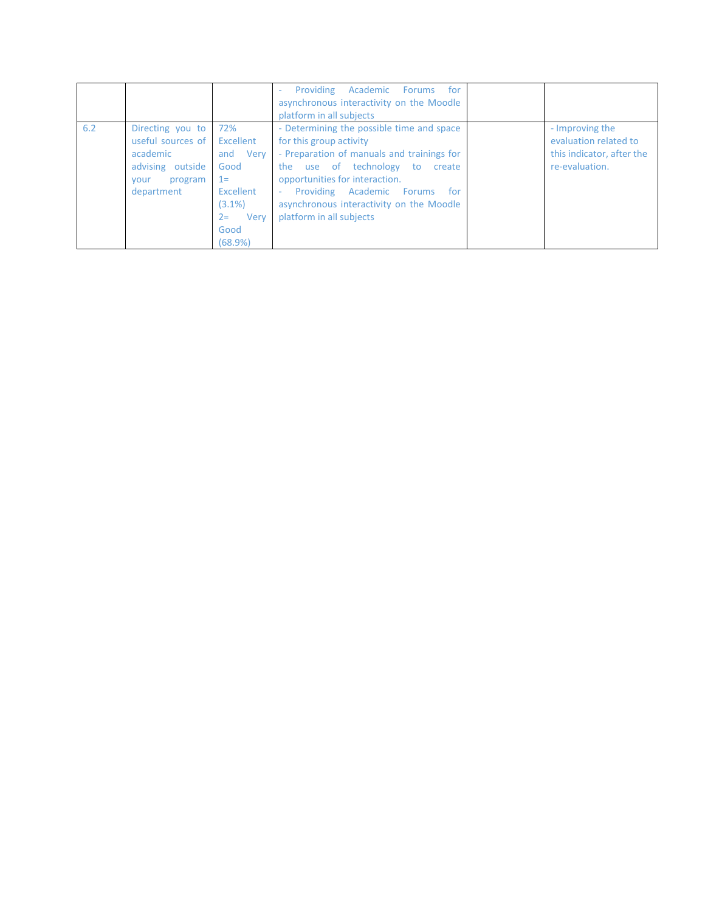|                         |                                                                                                                                                                                                   | Providing Academic Forums<br>for<br>÷.<br>asynchronous interactivity on the Moodle<br>platform in all subjects                                                                                                                                                                                                  |                                                                                         |
|-------------------------|---------------------------------------------------------------------------------------------------------------------------------------------------------------------------------------------------|-----------------------------------------------------------------------------------------------------------------------------------------------------------------------------------------------------------------------------------------------------------------------------------------------------------------|-----------------------------------------------------------------------------------------|
| 6.2<br>academic<br>vour | 72%<br>Directing you to<br>useful sources of<br>Excellent<br>and Very<br>Good<br>advising outside<br>$1 =$<br>program<br>Excellent<br>department<br>$(3.1\%)$<br>Verv<br>$2 =$<br>Good<br>(68.9%) | - Determining the possible time and space<br>for this group activity<br>- Preparation of manuals and trainings for<br>the use of technology<br>to<br>create<br>opportunities for interaction.<br>Providing Academic Forums<br>for<br>÷.<br>asynchronous interactivity on the Moodle<br>platform in all subjects | - Improving the<br>evaluation related to<br>this indicator, after the<br>re-evaluation. |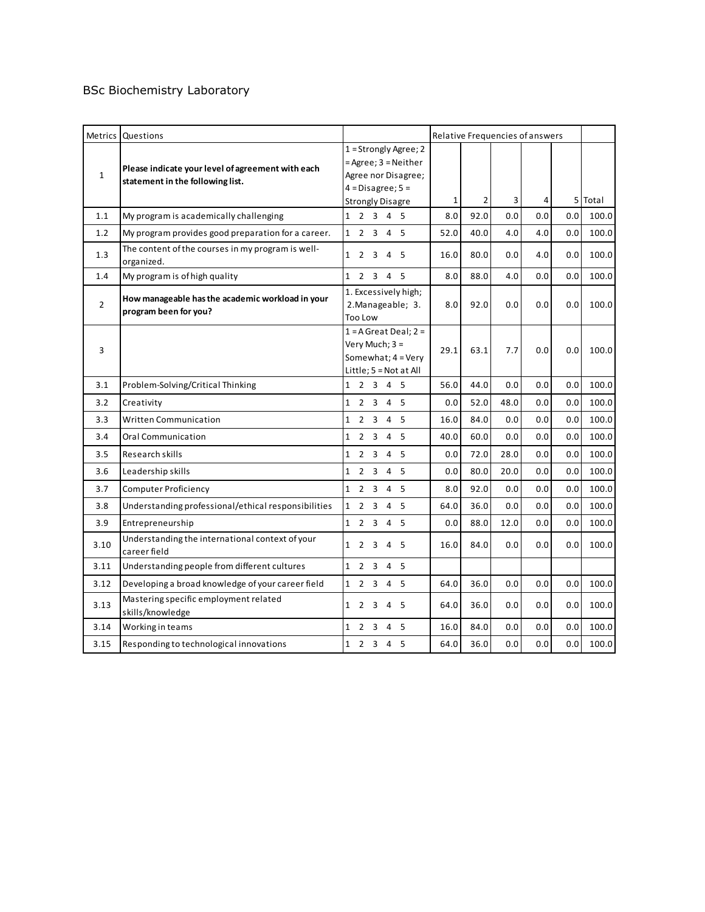### BSc Biochemistry Laboratory

|                | Metrics Questions                                                                     |                                                                                                                          |      |                |      | Relative Frequencies of answers |     |         |
|----------------|---------------------------------------------------------------------------------------|--------------------------------------------------------------------------------------------------------------------------|------|----------------|------|---------------------------------|-----|---------|
| $\mathbf{1}$   | Please indicate your level of agreement with each<br>statement in the following list. | $1 =$ Strongly Agree; 2<br>= Agree; 3 = Neither<br>Agree nor Disagree;<br>$4 = Disagree; 5 =$<br><b>Strongly Disagre</b> | 1    | $\overline{2}$ | 3    | 4                               |     | 5 Total |
| 1.1            | My program is academically challenging                                                | 1 2 3 4 5                                                                                                                | 8.0  | 92.0           | 0.0  | 0.0                             | 0.0 | 100.0   |
| 1.2            | My program provides good preparation for a career.                                    | 1 2 3 4 5                                                                                                                | 52.0 | 40.0           | 4.0  | 4.0                             | 0.0 | 100.0   |
| 1.3            | The content of the courses in my program is well-<br>organized.                       | 1 2 3 4 5                                                                                                                | 16.0 | 80.0           | 0.0  | 4.0                             | 0.0 | 100.0   |
| 1.4            | My program is of high quality                                                         | 1 2 3 4 5                                                                                                                | 8.0  | 88.0           | 4.0  | 0.0                             | 0.0 | 100.0   |
| $\overline{2}$ | How manageable has the academic workload in your<br>program been for you?             | 1. Excessively high;<br>2. Manageable; 3.<br><b>Too Low</b>                                                              | 8.0  | 92.0           | 0.0  | 0.0                             | 0.0 | 100.0   |
| 3              |                                                                                       | $1 = A$ Great Deal; $2 =$<br>Very Much; 3 =<br>Somewhat; 4 = Very<br>Little; 5 = Not at All                              | 29.1 | 63.1           | 7.7  | 0.0                             | 0.0 | 100.0   |
| 3.1            | Problem-Solving/Critical Thinking                                                     | 1 2 3 4 5                                                                                                                | 56.0 | 44.0           | 0.0  | 0.0                             | 0.0 | 100.0   |
| 3.2            | Creativity                                                                            | 2 3 4 5<br>$\mathbf{1}$                                                                                                  | 0.0  | 52.0           | 48.0 | 0.0                             | 0.0 | 100.0   |
| 3.3            | Written Communication                                                                 | $2 \t3 \t4 \t5$<br>$\mathbf{1}$                                                                                          | 16.0 | 84.0           | 0.0  | 0.0                             | 0.0 | 100.0   |
| 3.4            | Oral Communication                                                                    | $\mathbf{1}$<br>$\overline{2}$<br>$3 \quad 4 \quad 5$                                                                    | 40.0 | 60.0           | 0.0  | 0.0                             | 0.0 | 100.0   |
| 3.5            | Research skills                                                                       | $\overline{2}$<br>3<br>5<br>$\mathbf{1}$<br>4                                                                            | 0.0  | 72.0           | 28.0 | 0.0                             | 0.0 | 100.0   |
| 3.6            | Leadership skills                                                                     | $2 \quad 3 \quad 4 \quad 5$<br>$\mathbf{1}$                                                                              | 0.0  | 80.0           | 20.0 | 0.0                             | 0.0 | 100.0   |
| 3.7            | <b>Computer Proficiency</b>                                                           | 1 2 3 4 5                                                                                                                | 8.0  | 92.0           | 0.0  | 0.0                             | 0.0 | 100.0   |
| 3.8            | Understanding professional/ethical responsibilities                                   | $\mathbf{1}$<br>$2 \quad 3 \quad 4 \quad 5$                                                                              | 64.0 | 36.0           | 0.0  | 0.0                             | 0.0 | 100.0   |
| 3.9            | Entrepreneurship                                                                      | 1 2 3 4 5                                                                                                                | 0.0  | 88.0           | 12.0 | 0.0                             | 0.0 | 100.0   |
| 3.10           | Understanding the international context of your<br>career field                       | 1 2 3 4 5                                                                                                                | 16.0 | 84.0           | 0.0  | 0.0                             | 0.0 | 100.0   |
| 3.11           | Understanding people from different cultures                                          | 1 2 3 4 5                                                                                                                |      |                |      |                                 |     |         |
| 3.12           | Developing a broad knowledge of your career field                                     | 1 2 3 4 5                                                                                                                | 64.0 | 36.0           | 0.0  | 0.0                             | 0.0 | 100.0   |
| 3.13           | Mastering specific employment related<br>skills/knowledge                             | $\mathbf{1}$<br>2<br>$\overline{\mathbf{3}}$<br>4 5                                                                      | 64.0 | 36.0           | 0.0  | 0.0                             | 0.0 | 100.0   |
| 3.14           | Working in teams                                                                      | $\mathbf{1}$<br>2 3 4 5                                                                                                  | 16.0 | 84.0           | 0.0  | 0.0                             | 0.0 | 100.0   |
| 3.15           | Responding to technological innovations                                               | 1 2 3 4 5                                                                                                                | 64.0 | 36.0           | 0.0  | 0.0                             | 0.0 | 100.0   |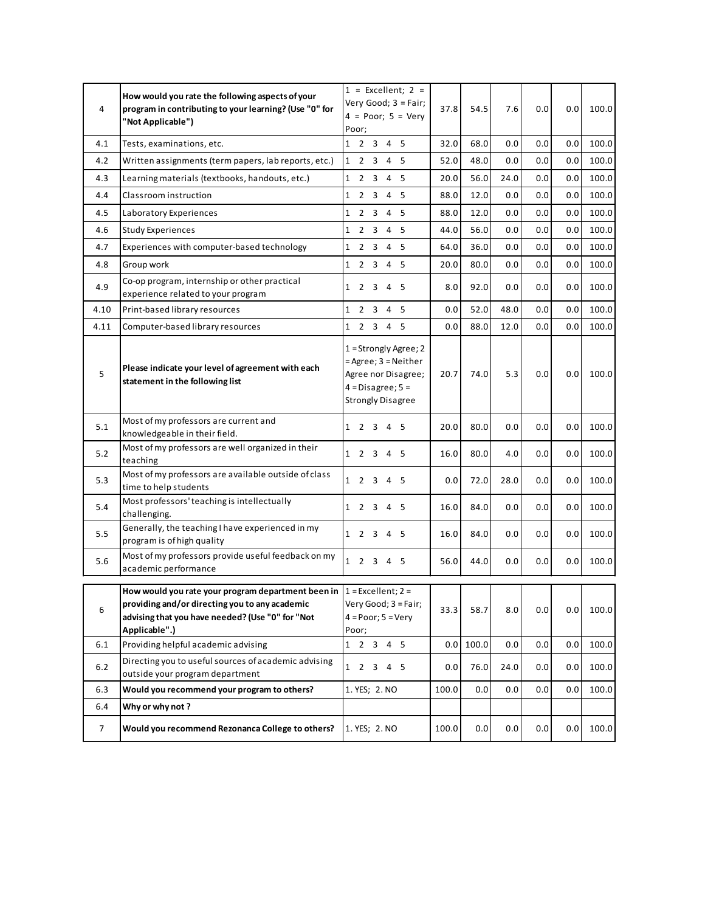| 4     | How would you rate the following aspects of your<br>program in contributing to your learning? (Use "0" for<br>"Not Applicable")                                                                | $1 =$ Excellent; $2 =$<br>Very Good; 3 = Fair;<br>$4 = Poor$ ; $5 = Very$<br>Poor;                                            | 37.8  | 54.5  | 7.6  | 0.0 | 0.0 | 100.0 |
|-------|------------------------------------------------------------------------------------------------------------------------------------------------------------------------------------------------|-------------------------------------------------------------------------------------------------------------------------------|-------|-------|------|-----|-----|-------|
| 4.1   | Tests, examinations, etc.                                                                                                                                                                      | 1 2 3 4 5                                                                                                                     | 32.0  | 68.0  | 0.0  | 0.0 | 0.0 | 100.0 |
| 4.2   | Written assignments (term papers, lab reports, etc.)                                                                                                                                           | 2 3 4 5<br>$\mathbf{1}$                                                                                                       | 52.0  | 48.0  | 0.0  | 0.0 | 0.0 | 100.0 |
| 4.3   | Learning materials (textbooks, handouts, etc.)                                                                                                                                                 | $\mathbf{1}$<br>2 3 4 5                                                                                                       | 20.0  | 56.0  | 24.0 | 0.0 | 0.0 | 100.0 |
| 4.4   | Classroom instruction                                                                                                                                                                          | 2<br>$\overline{\mathbf{3}}$<br>4<br>5<br>$\mathbf{1}$                                                                        | 88.0  | 12.0  | 0.0  | 0.0 | 0.0 | 100.0 |
| 4.5   | Laboratory Experiences                                                                                                                                                                         | $\mathbf{1}$<br>2 3 4 5                                                                                                       | 88.0  | 12.0  | 0.0  | 0.0 | 0.0 | 100.0 |
| 4.6   | <b>Study Experiences</b>                                                                                                                                                                       | 2 3<br>4 5<br>$\mathbf{1}$                                                                                                    | 44.0  | 56.0  | 0.0  | 0.0 | 0.0 | 100.0 |
| 4.7   | Experiences with computer-based technology                                                                                                                                                     | $\mathbf{1}$<br>2 3 4 5                                                                                                       | 64.0  | 36.0  | 0.0  | 0.0 | 0.0 | 100.0 |
| 4.8   | Group work                                                                                                                                                                                     | 1 2 3 4 5                                                                                                                     | 20.0  | 80.0  | 0.0  | 0.0 | 0.0 | 100.0 |
| 4.9   | Co-op program, internship or other practical<br>experience related to your program                                                                                                             | 2 3 4 5<br>$\mathbf{1}$                                                                                                       | 8.0   | 92.0  | 0.0  | 0.0 | 0.0 | 100.0 |
| 4.10  | Print-based library resources                                                                                                                                                                  | $2 \quad 3 \quad 4$<br>- 5<br>$\mathbf{1}$                                                                                    | 0.0   | 52.0  | 48.0 | 0.0 | 0.0 | 100.0 |
| 4.11  | Computer-based library resources                                                                                                                                                               | 1 2 3 4 5                                                                                                                     | 0.0   | 88.0  | 12.0 | 0.0 | 0.0 | 100.0 |
| 5     | Please indicate your level of agreement with each<br>statement in the following list                                                                                                           | $1 =$ Strongly Agree; 2<br>$=$ Agree; $3$ = Neither<br>Agree nor Disagree;<br>$4 = Disagree; 5 =$<br><b>Strongly Disagree</b> | 20.7  | 74.0  | 5.3  | 0.0 | 0.0 | 100.0 |
| 5.1   | Most of my professors are current and<br>knowledgeable in their field.                                                                                                                         | 1 2 3 4 5                                                                                                                     | 20.0  | 80.0  | 0.0  | 0.0 | 0.0 | 100.0 |
| 5.2   | Most of my professors are well organized in their<br>teaching                                                                                                                                  | 1 2 3 4 5                                                                                                                     | 16.0  | 80.0  | 4.0  | 0.0 | 0.0 | 100.0 |
| 5.3   | Most of my professors are available outside of class<br>time to help students                                                                                                                  | 1 2 3 4 5                                                                                                                     | 0.0   | 72.0  | 28.0 | 0.0 | 0.0 | 100.0 |
| 5.4   | Most professors' teaching is intellectually<br>challenging.                                                                                                                                    | 1 2 3 4 5                                                                                                                     | 16.0  | 84.0  | 0.0  | 0.0 | 0.0 | 100.0 |
| 5.5   | Generally, the teaching I have experienced in my<br>program is of high quality                                                                                                                 | 1 2 3 4 5                                                                                                                     | 16.0  | 84.0  | 0.0  | 0.0 | 0.0 | 100.0 |
| 5.6   | Most of my professors provide useful feedback on my<br>academic performance                                                                                                                    | $1 \quad 2 \quad 3 \quad 4 \quad 5$                                                                                           | 56.0  | 44.0  | 0.0  | 0.0 | 0.0 | 100.0 |
| 6     | How would you rate your program department been in $1 =$ Excellent; 2 =<br>providing and/or directing you to any academic<br>advising that you have needed? (Use "0" for "Not<br>Applicable".) | Very Good; 3 = Fair;<br>$4 = Poor$ ; $5 = Very$<br>Poor;                                                                      | 33.3  | 58.7  | 8.0  | 0.0 | 0.0 | 100.0 |
| 6.1   | Providing helpful academic advising                                                                                                                                                            | 1 2 3 4 5                                                                                                                     | 0.0   | 100.0 | 0.0  | 0.0 | 0.0 | 100.0 |
| $6.2$ | Directing you to useful sources of academic advising<br>outside your program department                                                                                                        | 2 3 4 5<br>$\mathbf{1}$                                                                                                       | 0.0   | 76.0  | 24.0 | 0.0 | 0.0 | 100.0 |
| 6.3   | Would you recommend your program to others?                                                                                                                                                    | 1. YES; 2. NO                                                                                                                 | 100.0 | 0.0   | 0.0  | 0.0 | 0.0 | 100.0 |
| 6.4   | Why or why not?                                                                                                                                                                                |                                                                                                                               |       |       |      |     |     |       |
| 7     | Would you recommend Rezonanca College to others?                                                                                                                                               | 1. YES; 2. NO                                                                                                                 | 100.0 | 0.0   | 0.0  | 0.0 | 0.0 | 100.0 |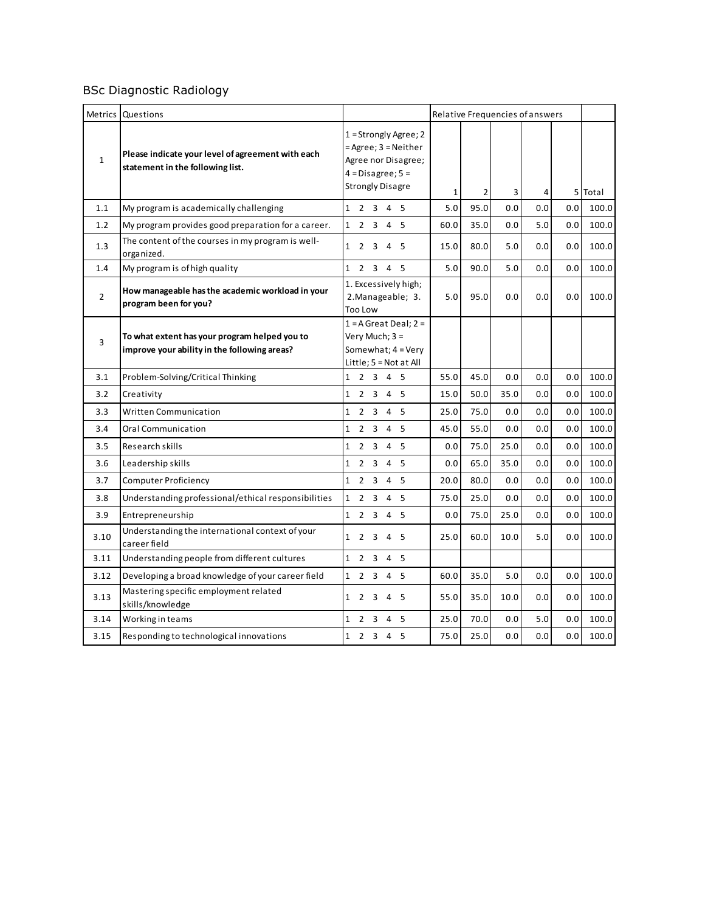# BSc Diagnostic Radiology

|                | Metrics Questions                                                                             |                                                                                                                          |       |                | Relative Frequencies of answers |     |     |         |
|----------------|-----------------------------------------------------------------------------------------------|--------------------------------------------------------------------------------------------------------------------------|-------|----------------|---------------------------------|-----|-----|---------|
| $\mathbf{1}$   | Please indicate your level of agreement with each<br>statement in the following list.         | $1 =$ Strongly Agree; 2<br>= Agree; 3 = Neither<br>Agree nor Disagree;<br>$4 = Disagree; 5 =$<br><b>Strongly Disagre</b> | 1     | $\overline{2}$ | 3                               | 4   |     | 5 Total |
| 1.1            | My program is academically challenging                                                        | 1 2 3 4 5                                                                                                                | $5.0$ | 95.0           | 0.0                             | 0.0 | 0.0 | 100.0   |
| 1.2            | My program provides good preparation for a career.                                            | 1 2 3 4 5                                                                                                                | 60.0  | 35.0           | 0.0                             | 5.0 | 0.0 | 100.0   |
| 1.3            | The content of the courses in my program is well-<br>organized.                               | 1 2 3 4 5                                                                                                                | 15.0  | 80.0           | 5.0                             | 0.0 | 0.0 | 100.0   |
| 1.4            | My program is of high quality                                                                 | 1 2 3 4 5                                                                                                                | 5.0   | 90.0           | 5.0                             | 0.0 | 0.0 | 100.0   |
| $\overline{2}$ | How manageable has the academic workload in your<br>program been for you?                     | 1. Excessively high;<br>2. Manageable; 3.<br>Too Low                                                                     | 5.0   | 95.0           | 0.0                             | 0.0 | 0.0 | 100.0   |
| 3              | To what extent has your program helped you to<br>improve your ability in the following areas? | $1 = A$ Great Deal; $2 =$<br>Very Much; 3 =<br>Somewhat; 4 = Very<br>Little; $5 = Not at All$                            |       |                |                                 |     |     |         |
| 3.1            | Problem-Solving/Critical Thinking                                                             | 1 2 3 4 5                                                                                                                | 55.0  | 45.0           | 0.0                             | 0.0 | 0.0 | 100.0   |
| 3.2            | Creativity                                                                                    | 1 2 3 4 5                                                                                                                | 15.0  | 50.0           | 35.0                            | 0.0 | 0.0 | 100.0   |
| 3.3            | <b>Written Communication</b>                                                                  | $2^{\circ}$<br>$3 \t4 \t5$<br>$\mathbf{1}$                                                                               | 25.0  | 75.0           | 0.0                             | 0.0 | 0.0 | 100.0   |
| 3.4            | Oral Communication                                                                            | $\mathbf{1}$<br>2 3 4 5                                                                                                  | 45.0  | 55.0           | 0.0                             | 0.0 | 0.0 | 100.0   |
| 3.5            | Research skills                                                                               | 1 2 3 4 5                                                                                                                | 0.0   | 75.0           | 25.0                            | 0.0 | 0.0 | 100.0   |
| 3.6            | Leadership skills                                                                             | 1 2 3 4 5                                                                                                                | 0.0   | 65.0           | 35.0                            | 0.0 | 0.0 | 100.0   |
| 3.7            | <b>Computer Proficiency</b>                                                                   | 1 2 3 4 5                                                                                                                | 20.0  | 80.0           | 0.0                             | 0.0 | 0.0 | 100.0   |
| 3.8            | Understanding professional/ethical responsibilities                                           | $\mathbf{1}$<br>$\overline{2}$<br>3 4 5                                                                                  | 75.0  | 25.0           | 0.0                             | 0.0 | 0.0 | 100.0   |
| 3.9            | Entrepreneurship                                                                              | 1 2 3 4 5                                                                                                                | 0.0   | 75.0           | 25.0                            | 0.0 | 0.0 | 100.0   |
| 3.10           | Understanding the international context of your<br>career field                               | 2 3 4 5<br>$\mathbf{1}$                                                                                                  | 25.0  | 60.0           | 10.0                            | 5.0 | 0.0 | 100.0   |
| 3.11           | Understanding people from different cultures                                                  | 1 2 3 4 5                                                                                                                |       |                |                                 |     |     |         |
| 3.12           | Developing a broad knowledge of your career field                                             | 1 2 3 4 5                                                                                                                | 60.0  | 35.0           | 5.0                             | 0.0 | 0.0 | 100.0   |
| 3.13           | Mastering specific employment related<br>skills/knowledge                                     | 1 2 3 4 5                                                                                                                | 55.0  | 35.0           | 10.0                            | 0.0 | 0.0 | 100.0   |
| 3.14           | Working in teams                                                                              | 1 2 3 4 5                                                                                                                | 25.0  | 70.0           | 0.0                             | 5.0 | 0.0 | 100.0   |
| 3.15           | Responding to technological innovations                                                       | 2 3 4 5<br>$\mathbf{1}$                                                                                                  | 75.0  | 25.0           | 0.0                             | 0.0 | 0.0 | 100.0   |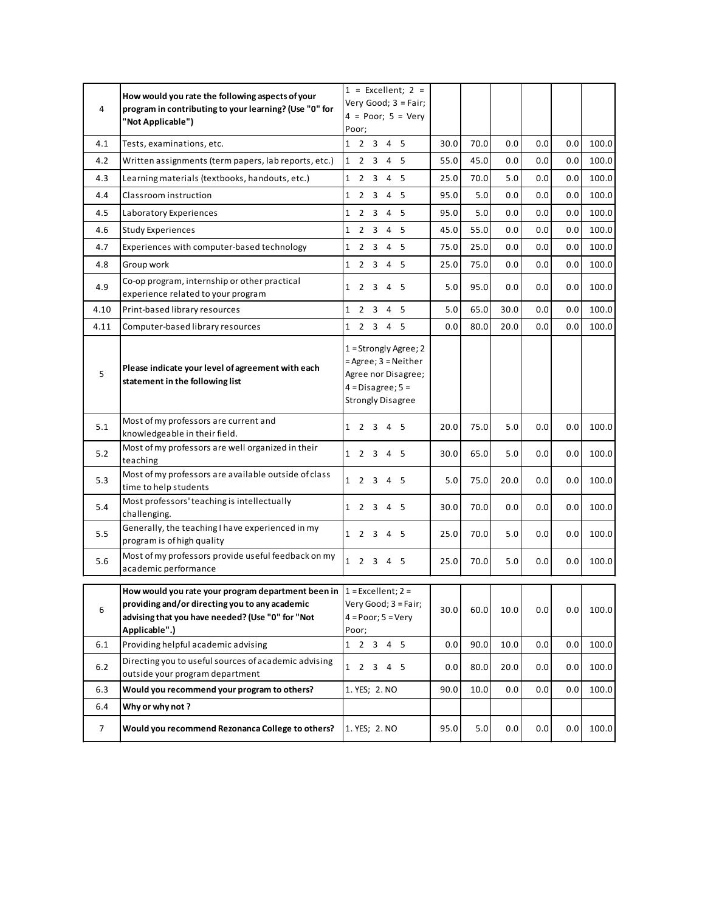| 4              | How would you rate the following aspects of your<br>program in contributing to your learning? (Use "0" for<br>"Not Applicable")                                                                | $1 =$ Excellent; $2 =$<br>Very Good; 3 = Fair;<br>$4 = Poor$ ; $5 = Very$<br>Poor;                                            |      |      |         |     |     |       |
|----------------|------------------------------------------------------------------------------------------------------------------------------------------------------------------------------------------------|-------------------------------------------------------------------------------------------------------------------------------|------|------|---------|-----|-----|-------|
| 4.1            | Tests, examinations, etc.                                                                                                                                                                      | 1 2 3 4 5                                                                                                                     | 30.0 | 70.0 | 0.0     | 0.0 | 0.0 | 100.0 |
| 4.2            | Written assignments (term papers, lab reports, etc.)                                                                                                                                           | $\mathbf{1}$<br>2 3 4 5                                                                                                       | 55.0 | 45.0 | 0.0     | 0.0 | 0.0 | 100.0 |
| 4.3            | Learning materials (textbooks, handouts, etc.)                                                                                                                                                 | $\mathbf{1}$<br>2 3 4 5                                                                                                       | 25.0 | 70.0 | $5.0\,$ | 0.0 | 0.0 | 100.0 |
| 4.4            | Classroom instruction                                                                                                                                                                          | $\mathbf{1}$<br>2 3 4 5                                                                                                       | 95.0 | 5.0  | 0.0     | 0.0 | 0.0 | 100.0 |
| 4.5            | Laboratory Experiences                                                                                                                                                                         | $\mathbf{1}$<br>2 3 4 5                                                                                                       | 95.0 | 5.0  | 0.0     | 0.0 | 0.0 | 100.0 |
| 4.6            | Study Experiences                                                                                                                                                                              | 1 2 3 4 5                                                                                                                     | 45.0 | 55.0 | 0.0     | 0.0 | 0.0 | 100.0 |
| 4.7            | Experiences with computer-based technology                                                                                                                                                     | $\mathbf{1}$<br>2 3 4 5                                                                                                       | 75.0 | 25.0 | $0.0\,$ | 0.0 | 0.0 | 100.0 |
| 4.8            | Group work                                                                                                                                                                                     | 1 2 3 4 5                                                                                                                     | 25.0 | 75.0 | 0.0     | 0.0 | 0.0 | 100.0 |
| 4.9            | Co-op program, internship or other practical<br>experience related to your program                                                                                                             | $1 \t2 \t3 \t4$<br>- 5                                                                                                        | 5.0  | 95.0 | 0.0     | 0.0 | 0.0 | 100.0 |
| 4.10           | Print-based library resources                                                                                                                                                                  | $\mathbf{1}$<br>2 3 4 5                                                                                                       | 5.0  | 65.0 | 30.0    | 0.0 | 0.0 | 100.0 |
| 4.11           | Computer-based library resources                                                                                                                                                               | 1 2 3 4 5                                                                                                                     | 0.0  | 80.0 | 20.0    | 0.0 | 0.0 | 100.0 |
| 5              | Please indicate your level of agreement with each<br>statement in the following list                                                                                                           | $1 =$ Strongly Agree; 2<br>$=$ Agree; $3$ = Neither<br>Agree nor Disagree;<br>$4 = Disagree; 5 =$<br><b>Strongly Disagree</b> |      |      |         |     |     |       |
| 5.1            | Most of my professors are current and<br>knowledgeable in their field.                                                                                                                         | 1 2 3 4 5                                                                                                                     | 20.0 | 75.0 | 5.0     | 0.0 | 0.0 | 100.0 |
| 5.2            | Most of my professors are well organized in their<br>teaching                                                                                                                                  | 1 2 3 4 5                                                                                                                     | 30.0 | 65.0 | 5.0     | 0.0 | 0.0 | 100.0 |
| 5.3            | Most of my professors are available outside of class<br>time to help students                                                                                                                  | $1 \t2 \t3 \t4$<br>- 5                                                                                                        | 5.0  | 75.0 | 20.0    | 0.0 | 0.0 | 100.0 |
| 5.4            | Most professors' teaching is intellectually<br>challenging.                                                                                                                                    | $1 \t2 \t3 \t4$<br>- 5                                                                                                        | 30.0 | 70.0 | 0.0     | 0.0 | 0.0 | 100.0 |
| 5.5            | Generally, the teaching I have experienced in my<br>program is of high quality                                                                                                                 | 1 2 3 4 5                                                                                                                     | 25.0 | 70.0 | 5.0     | 0.0 | 0.0 | 100.0 |
| 5.6            | Most of my professors provide useful feedback on my<br>academic performance                                                                                                                    | $1 \quad 2 \quad 3 \quad 4 \quad 5$                                                                                           | 25.0 | 70.0 | 5.0     | 0.0 | 0.0 | 100.0 |
| 6              | How would you rate your program department been in $1 =$ Excellent; 2 =<br>providing and/or directing you to any academic<br>advising that you have needed? (Use "0" for "Not<br>Applicable".) | Very Good; 3 = Fair;<br>$4 = Poor; 5 = Very$<br>Poor;                                                                         | 30.0 | 60.0 | 10.0    | 0.0 | 0.0 | 100.0 |
| 6.1            | Providing helpful academic advising                                                                                                                                                            | 1 2 3 4 5                                                                                                                     | 0.0  | 90.0 | 10.0    | 0.0 | 0.0 | 100.0 |
| $6.2$          | Directing you to useful sources of academic advising<br>outside your program department                                                                                                        | 1 2 3 4 5                                                                                                                     | 0.0  | 80.0 | 20.0    | 0.0 | 0.0 | 100.0 |
| 6.3            | Would you recommend your program to others?                                                                                                                                                    | 1. YES; 2. NO                                                                                                                 | 90.0 | 10.0 | 0.0     | 0.0 | 0.0 | 100.0 |
| 6.4            | Why or why not ?                                                                                                                                                                               |                                                                                                                               |      |      |         |     |     |       |
| $\overline{7}$ | Would you recommend Rezonanca College to others?                                                                                                                                               | 1. YES; 2. NO                                                                                                                 | 95.0 | 5.0  | 0.0     | 0.0 | 0.0 | 100.0 |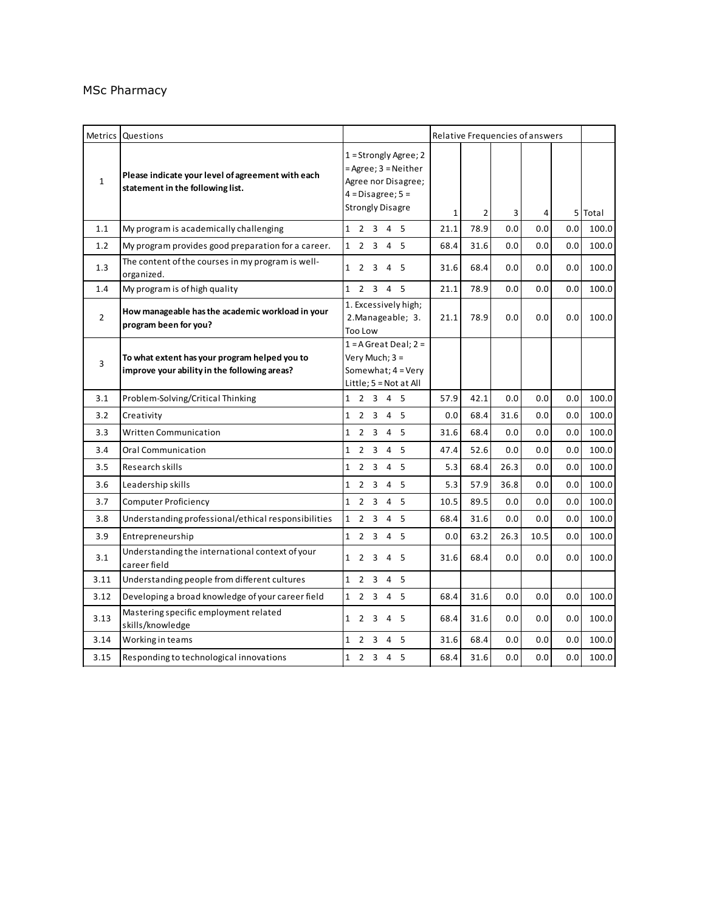#### MSc Pharmacy

|                | Metrics Questions                                                                             |                                                                                                                              | Relative Frequencies of answers |                |      |      |     |         |
|----------------|-----------------------------------------------------------------------------------------------|------------------------------------------------------------------------------------------------------------------------------|---------------------------------|----------------|------|------|-----|---------|
| $\mathbf{1}$   | Please indicate your level of agreement with each<br>statement in the following list.         | $1 =$ Strongly Agree; 2<br>$=$ Agree; $3 =$ Neither<br>Agree nor Disagree;<br>$4 = Disagree; 5 =$<br><b>Strongly Disagre</b> | $\mathbf{1}$                    | $\overline{2}$ | 3    | 4    |     | 5 Total |
| 1.1            | My program is academically challenging                                                        | 1 2 3 4 5                                                                                                                    | 21.1                            | 78.9           | 0.0  | 0.0  | 0.0 | 100.0   |
| 1.2            | My program provides good preparation for a career.                                            | 1 2 3 4 5                                                                                                                    | 68.4                            | 31.6           | 0.0  | 0.0  | 0.0 | 100.0   |
| 1.3            | The content of the courses in my program is well-<br>organized.                               | 1 2 3 4 5                                                                                                                    | 31.6                            | 68.4           | 0.0  | 0.0  | 0.0 | 100.0   |
| 1.4            | My program is of high quality                                                                 | 1 2 3 4 5                                                                                                                    | 21.1                            | 78.9           | 0.0  | 0.0  | 0.0 | 100.0   |
| $\overline{2}$ | How manageable has the academic workload in your<br>program been for you?                     | 1. Excessively high;<br>2. Manageable; 3.<br>Too Low                                                                         | 21.1                            | 78.9           | 0.0  | 0.0  | 0.0 | 100.0   |
| 3              | To what extent has your program helped you to<br>improve your ability in the following areas? | $1 = A$ Great Deal; $2 =$<br>Very Much; 3 =<br>Somewhat; 4 = Very<br>Little; $5 = Not at All$                                |                                 |                |      |      |     |         |
| 3.1            | Problem-Solving/Critical Thinking                                                             | 1 2 3 4 5                                                                                                                    | 57.9                            | 42.1           | 0.0  | 0.0  | 0.0 | 100.0   |
| 3.2            | Creativity                                                                                    | $\mathbf{1}$<br>2 3 4 5                                                                                                      | 0.0                             | 68.4           | 31.6 | 0.0  | 0.0 | 100.0   |
| 3.3            | Written Communication                                                                         | 2 3 4 5<br>$\mathbf{1}$                                                                                                      | 31.6                            | 68.4           | 0.0  | 0.0  | 0.0 | 100.0   |
| 3.4            | Oral Communication                                                                            | 2 <sub>3</sub><br>4 5<br>$\mathbf{1}$                                                                                        | 47.4                            | 52.6           | 0.0  | 0.0  | 0.0 | 100.0   |
| 3.5            | Research skills                                                                               | $\mathbf{1}$<br>2 3 4 5                                                                                                      | 5.3                             | 68.4           | 26.3 | 0.0  | 0.0 | 100.0   |
| 3.6            | Leadership skills                                                                             | $\mathbf{1}$<br>2 <sub>3</sub><br>4 5                                                                                        | 5.3                             | 57.9           | 36.8 | 0.0  | 0.0 | 100.0   |
| 3.7            | Computer Proficiency                                                                          | $\mathbf{1}$<br>2 3 4 5                                                                                                      | 10.5                            | 89.5           | 0.0  | 0.0  | 0.0 | 100.0   |
| 3.8            | Understanding professional/ethical responsibilities                                           | $\mathbf{1}$<br>2 3 4 5                                                                                                      | 68.4                            | 31.6           | 0.0  | 0.0  | 0.0 | 100.0   |
| 3.9            | Entrepreneurship                                                                              | $\mathbf{1}$<br>2 3 4 5                                                                                                      | 0.0                             | 63.2           | 26.3 | 10.5 | 0.0 | 100.0   |
| 3.1            | Understanding the international context of your<br>career field                               | $\overline{4}$<br>$\mathbf{1}$<br>2 3<br>- 5                                                                                 | 31.6                            | 68.4           | 0.0  | 0.0  | 0.0 | 100.0   |
| 3.11           | Understanding people from different cultures                                                  | $\mathbf{1}$<br>$2^{\circ}$<br>3<br>$\overline{4}$<br>-5                                                                     |                                 |                |      |      |     |         |
| 3.12           | Developing a broad knowledge of your career field                                             | 1 2 3 4 5                                                                                                                    | 68.4                            | 31.6           | 0.0  | 0.0  | 0.0 | 100.0   |
| 3.13           | Mastering specific employment related<br>skills/knowledge                                     | $\mathbf{1}$<br>2<br>- 3<br>45                                                                                               | 68.4                            | 31.6           | 0.0  | 0.0  | 0.0 | 100.0   |
| 3.14           | Working in teams                                                                              | $\mathbf{1}$<br>2 3 4 5                                                                                                      | 31.6                            | 68.4           | 0.0  | 0.0  | 0.0 | 100.0   |
| 3.15           | Responding to technological innovations                                                       | 1 2 3 4 5                                                                                                                    | 68.4                            | 31.6           | 0.0  | 0.0  | 0.0 | 100.0   |